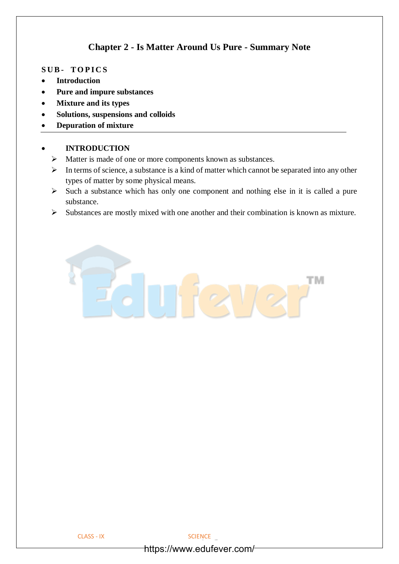# **Chapter 2 - Is Matter Around Us Pure - Summary Note**

#### **S U B - T O P I C S**

- **Introduction**
- **Pure and impure substances**
- **Mixture and its types**
- **Solutions, suspensions and colloids**
- **Depuration of mixture**

## • **INTRODUCTION**

- ➢ Matter is made of one or more components known as substances.
- ➢ In terms of science, a substance is a kind of matter which cannot be separated into any other types of matter by some physical means.
- ➢ Such a substance which has only one component and nothing else in it is called a pure substance.
- ➢ Substances are mostly mixed with one another and their combination is known as mixture.

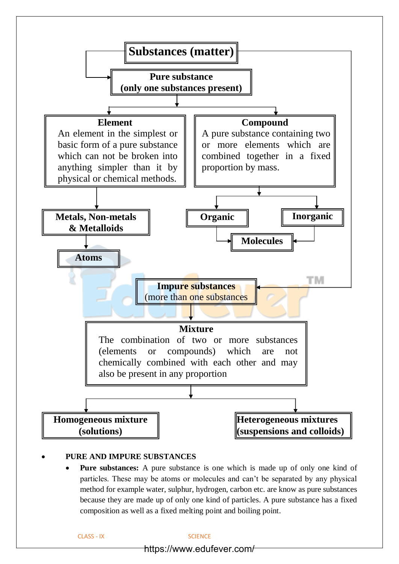

## • **PURE AND IMPURE SUBSTANCES**

**Pure substances:** A pure substance is one which is made up of only one kind of particles. These may be atoms or molecules and can't be separated by any physical method for example water, sulphur, hydrogen, carbon etc. are know as pure substances because they are made up of only one kind of particles. A pure substance has a fixed composition as well as a fixed melting point and boiling point.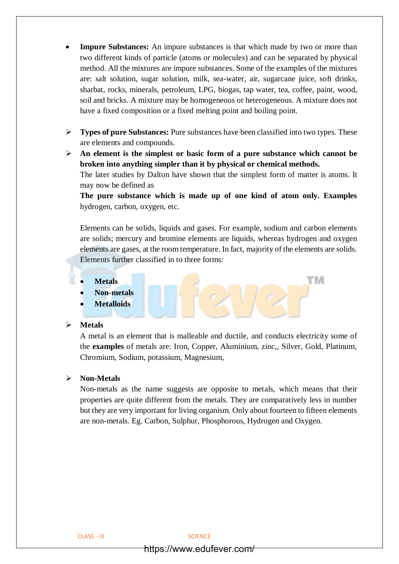- **Impure Substances:** An impure substances is that which made by two or more than two different kinds of particle (atoms or molecules) and can be separated by physical method. All the mixtures are impure substances. Some of the examples of the mixtures are: salt solution, sugar solution, milk, sea-water, air, sugarcane juice, soft drinks, sharbat, rocks, minerals, petroleum, LPG, biogas, tap water, tea, coffee, paint, wood, soil and bricks. A mixture may be homogeneous or heterogeneous. A mixture does not have a fixed composition or a fixed melting point and boiling point.
- ➢ **Types of pure Substances:** Pure substances have been classified into two types. These are elements and compounds.
- ➢ **An element is the simplest or basic form of a pure substance which cannot be broken into anything simpler than it by physical or chemical methods.** The later studies by Dalton have shown that the simplest form of matter is atoms. It may now be defined as

**The pure substance which is made up of one kind of atom only. Examples**  hydrogen, carbon, oxygen, etc.

Elements can be solids, liquids and gases. For example, sodium and carbon elements are solids; mercury and bromine elements are liquids, whereas hydrogen and oxygen elements are gases, at the room temperature. In fact, majority of the elements are solids. Elements further classified in to three forms:

TМ

- **Metals**
- **Non-metals**
- **Metalloids**

#### ➢ **Metals**

A metal is an element that is malleable and ductile, and conducts electricity some of the **examples** of metals are: Iron, Copper, Aluminium, zinc,, Silver, Gold, Platinum, Chromium, Sodium, potassium, Magnesium,

## ➢ **Non-Metals**

Non-metals as the name suggests are opposite to metals, which means that their properties are quite different from the metals. They are comparatively less in number but they are very important for living organism. Only about fourteen to fifteen elements are non-metals. Eg. Carbon, Sulphur, Phosphorous, Hydrogen and Oxygen.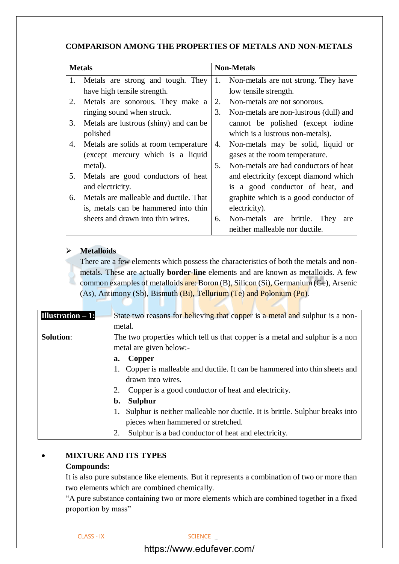# **COMPARISON AMONG THE PROPERTIES OF METALS AND NON-METALS**

| <b>Metals</b> |                                        | <b>Non-Metals</b> |                                         |
|---------------|----------------------------------------|-------------------|-----------------------------------------|
| 1.            | Metals are strong and tough. They      |                   | 1. Non-metals are not strong. They have |
|               | have high tensile strength.            |                   | low tensile strength.                   |
| 2.            | Metals are sonorous. They make a       | 2.                | Non-metals are not sonorous.            |
|               | ringing sound when struck.             | 3.                | Non-metals are non-lustrous (dull) and  |
| 3.            | Metals are lustrous (shiny) and can be |                   | cannot be polished (except iodine       |
|               | polished                               |                   | which is a lustrous non-metals).        |
| 4.            | Metals are solids at room temperature. | 4.                | Non-metals may be solid, liquid or      |
|               | (except mercury which is a liquid      |                   | gases at the room temperature.          |
|               | metal).                                | 5.                | Non-metals are bad conductors of heat   |
| 5.            | Metals are good conductors of heat     |                   | and electricity (except diamond which   |
|               | and electricity.                       |                   | is a good conductor of heat, and        |
| 6.            | Metals are malleable and ductile. That |                   | graphite which is a good conductor of   |
|               | is, metals can be hammered into thin   |                   | electricity).                           |
|               | sheets and drawn into thin wires.      | 6.                | Non-metals are brittle. They<br>are     |
|               |                                        |                   | neither malleable nor ductile.          |

## ➢ **Metalloids**

There are a few elements which possess the characteristics of both the metals and nonmetals. These are actually **border-line** elements and are known as metalloids. A few common examples of metalloids are: Boron (B), Silicon (Si), Germanium (Ge), Arsenic (As), Antimony (Sb), Bismuth (Bi), Tellurium (Te) and Polonium (Po).

| Illustration $-1$ : | State two reasons for believing that copper is a metal and sulphur is a non- |  |  |  |  |
|---------------------|------------------------------------------------------------------------------|--|--|--|--|
|                     | metal.                                                                       |  |  |  |  |
| <b>Solution:</b>    | The two properties which tell us that copper is a metal and sulphur is a non |  |  |  |  |
|                     | metal are given below:-                                                      |  |  |  |  |
|                     | Copper<br>a.                                                                 |  |  |  |  |
|                     | Copper is malleable and ductile. It can be hammered into thin sheets and     |  |  |  |  |
|                     | drawn into wires.                                                            |  |  |  |  |
|                     | Copper is a good conductor of heat and electricity.<br>2.                    |  |  |  |  |
|                     | <b>Sulphur</b><br>b.                                                         |  |  |  |  |
|                     | Sulphur is neither malleable nor ductile. It is brittle. Sulphur breaks into |  |  |  |  |
|                     | pieces when hammered or stretched.                                           |  |  |  |  |
|                     | Sulphur is a bad conductor of heat and electricity.<br>2.                    |  |  |  |  |
|                     |                                                                              |  |  |  |  |

# • **MIXTURE AND ITS TYPES**

# **Compounds:**

It is also pure substance like elements. But it represents a combination of two or more than two elements which are combined chemically.

"A pure substance containing two or more elements which are combined together in a fixed proportion by mass"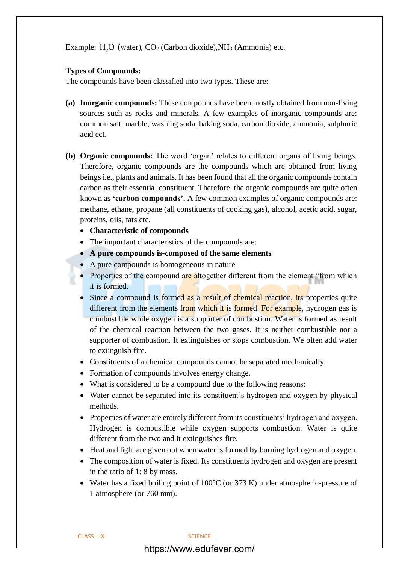Example:  $H_2O$  (water),  $CO_2$  (Carbon dioxide), NH<sub>3</sub> (Ammonia) etc.

#### **Types of Compounds:**

The compounds have been classified into two types. These are:

- **(a) Inorganic compounds:** These compounds have been mostly obtained from non-living sources such as rocks and minerals. A few examples of inorganic compounds are: common salt, marble, washing soda, baking soda, carbon dioxide, ammonia, sulphuric acid ect.
- **(b) Organic compounds:** The word 'organ' relates to different organs of living beings. Therefore, organic compounds are the compounds which are obtained from living beings i.e., plants and animals. It has been found that all the organic compounds contain carbon as their essential constituent. Therefore, the organic compounds are quite often known as **'carbon compounds'.** A few common examples of organic compounds are: methane, ethane, propane (all constituents of cooking gas), alcohol, acetic acid, sugar, proteins, oils, fats etc.
	- **Characteristic of compounds**
	- The important characteristics of the compounds are:
	- **A pure compounds is-composed of the same elements**
	- A pure compounds is homogeneous in nature
	- Properties of the compound are altogether different from the element "from which it is formed.
	- Since a compound is formed as a result of chemical reaction, its properties quite different from the elements from which it is formed. For example, hydrogen gas is combustible while oxygen is a supporter of combustion. Water is formed as result of the chemical reaction between the two gases. It is neither combustible nor a supporter of combustion. It extinguishes or stops combustion. We often add water to extinguish fire.
	- Constituents of a chemical compounds cannot be separated mechanically.
	- Formation of compounds involves energy change.
	- What is considered to be a compound due to the following reasons:
	- Water cannot be separated into its constituent's hydrogen and oxygen by-physical methods.
	- Properties of water are entirely different from its constituents' hydrogen and oxygen. Hydrogen is combustible while oxygen supports combustion. Water is quite different from the two and it extinguishes fire.
	- Heat and light are given out when water is formed by burning hydrogen and oxygen.
	- The composition of water is fixed. Its constituents hydrogen and oxygen are present in the ratio of 1: 8 by mass.
	- Water has a fixed boiling point of 100°C (or 373 K) under atmospheric-pressure of 1 atmosphere (or 760 mm).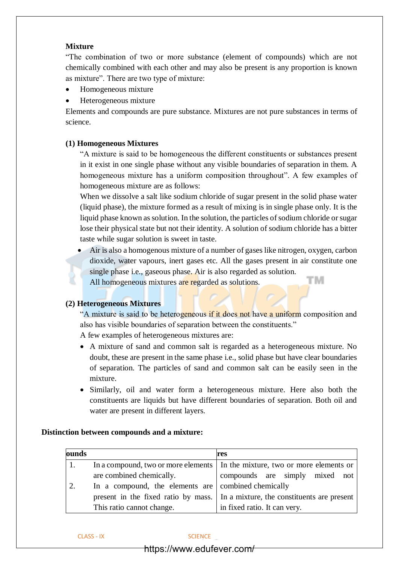## **Mixture**

"The combination of two or more substance (element of compounds) which are not chemically combined with each other and may also be present is any proportion is known as mixture". There are two type of mixture:

- Homogeneous mixture
- Heterogeneous mixture

Elements and compounds are pure substance. Mixtures are not pure substances in terms of science.

#### **(1) Homogeneous Mixtures**

"A mixture is said to be homogeneous the different constituents or substances present in it exist in one single phase without any visible boundaries of separation in them. A homogeneous mixture has a uniform composition throughout". A few examples of homogeneous mixture are as follows:

When we dissolve a salt like sodium chloride of sugar present in the solid phase water (liquid phase), the mixture formed as a result of mixing is in single phase only. It is the liquid phase known as solution. In the solution, the particles of sodium chloride or sugar lose their physical state but not their identity. A solution of sodium chloride has a bitter taste while sugar solution is sweet in taste.

• Air is also a homogenous mixture of a number of gases like nitrogen, oxygen, carbon dioxide, water vapours, inert gases etc. All the gases present in air constitute one single phase i.e., gaseous phase. Air is also regarded as solution. тм All homogeneous mixtures are regarded as solutions.

#### **(2) Heterogeneous Mixtures**

"A mixture is said to be heterogeneous if it does not have a uniform composition and also has visible boundaries of separation between the constituents."

A few examples of heterogeneous mixtures are:

- A mixture of sand and common salt is regarded as a heterogeneous mixture. No doubt, these are present in the same phase i.e., solid phase but have clear boundaries of separation. The particles of sand and common salt can be easily seen in the mixture.
- Similarly, oil and water form a heterogeneous mixture. Here also both the constituents are liquids but have different boundaries of separation. Both oil and water are present in different layers.

#### **Distinction between compounds and a mixture:**

| ounds |                                                     | res                                                                            |  |  |
|-------|-----------------------------------------------------|--------------------------------------------------------------------------------|--|--|
|       |                                                     | In a compound, two or more elements I in the mixture, two or more elements or  |  |  |
|       | are combined chemically.                            | compounds are simply mixed not                                                 |  |  |
|       | In a compound, the elements are combined chemically |                                                                                |  |  |
|       |                                                     | present in the fixed ratio by mass. In a mixture, the constituents are present |  |  |
|       | This ratio cannot change.                           | in fixed ratio. It can very.                                                   |  |  |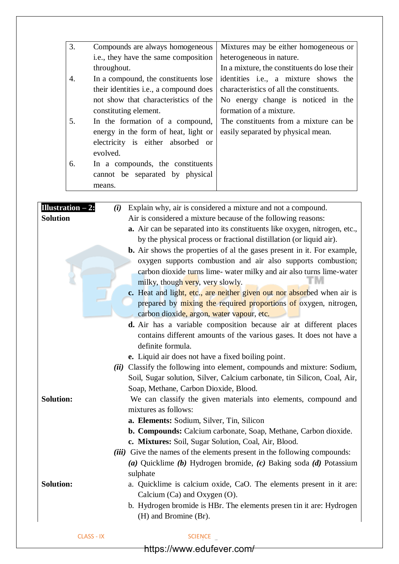| 3.                  | Compounds are always homogeneous                                        | Mixtures may be either homogeneous or                                          |  |  |
|---------------------|-------------------------------------------------------------------------|--------------------------------------------------------------------------------|--|--|
|                     | i.e., they have the same composition                                    | heterogeneous in nature.                                                       |  |  |
|                     | throughout.                                                             | In a mixture, the constituents do lose their                                   |  |  |
| $\overline{4}$ .    | In a compound, the constituents lose                                    | identities i.e., a mixture shows the                                           |  |  |
|                     | their identities i.e., a compound does                                  | characteristics of all the constituents.                                       |  |  |
|                     | not show that characteristics of the                                    | No energy change is noticed in the                                             |  |  |
|                     | constituting element.                                                   | formation of a mixture.                                                        |  |  |
| 5.                  | In the formation of a compound,                                         | The constituents from a mixture can be                                         |  |  |
|                     | energy in the form of heat, light or                                    | easily separated by physical mean.                                             |  |  |
|                     | electricity is either absorbed or                                       |                                                                                |  |  |
|                     | evolved.                                                                |                                                                                |  |  |
| 6.                  | In a compounds, the constituents                                        |                                                                                |  |  |
|                     | cannot be separated by physical                                         |                                                                                |  |  |
|                     | means.                                                                  |                                                                                |  |  |
|                     |                                                                         |                                                                                |  |  |
| Illustration $-2$ : | (i)                                                                     | Explain why, air is considered a mixture and not a compound.                   |  |  |
| <b>Solution</b>     |                                                                         | Air is considered a mixture because of the following reasons:                  |  |  |
|                     |                                                                         | a. Air can be separated into its constituents like oxygen, nitrogen, etc.,     |  |  |
|                     |                                                                         | by the physical process or fractional distillation (or liquid air).            |  |  |
|                     |                                                                         | <b>b.</b> Air shows the properties of al the gases present in it. For example, |  |  |
|                     |                                                                         | oxygen supports combustion and air also supports combustion;                   |  |  |
|                     | carbon dioxide turns lime- water milky and air also turns lime-water    |                                                                                |  |  |
|                     | milky, though very, very slowly.                                        |                                                                                |  |  |
|                     | c. Heat and light, etc., are neither given out nor absorbed when air is |                                                                                |  |  |
|                     |                                                                         | prepared by mixing the required proportions of oxygen, nitrogen,               |  |  |
|                     | carbon dioxide, argon, water vapour, etc.                               |                                                                                |  |  |
|                     | d. Air has a variable composition because air at different places       |                                                                                |  |  |
|                     |                                                                         |                                                                                |  |  |
|                     |                                                                         | contains different amounts of the various gases. It does not have a            |  |  |
|                     | definite formula.<br>e. Liquid air does not have a fixed boiling point. |                                                                                |  |  |

*(ii)* Classify the following into element, compounds and mixture: Sodium, Soil, Sugar solution, Silver, Calcium carbonate, tin Silicon, Coal, Air, Soap, Methane, Carbon Dioxide, Blood.

# **Solution:** We can classify the given materials into elements, compound and mixtures as follows:

- **a. Elements:** Sodium, Silver, Tin, Silicon
- **b. Compounds:** Calcium carbonate, Soap, Methane, Carbon dioxide.
- **c. Mixtures:** Soil, Sugar Solution, Coal, Air, Blood.
- *(iii)* Give the names of the elements present in the following compounds: *(a)* Quicklime *(b)* Hydrogen bromide, *(c)* Baking soda *(d)* Potassium sulphate

**Solution:** a. Quicklime is calcium oxide, CaO. The elements present in it are: Calcium (Ca) and Oxygen (O).

> b. Hydrogen bromide is HBr. The elements presen tin it are: Hydrogen (H) and Bromine (Br).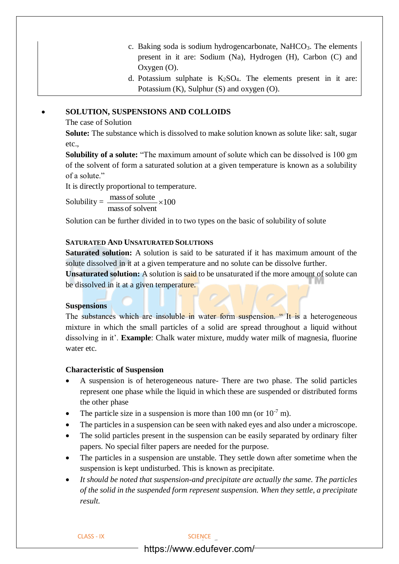- c. Baking soda is sodium hydrogencarbonate,  $NaHCO<sub>3</sub>$ . The elements present in it are: Sodium (Na), Hydrogen (H), Carbon (C) and Oxygen (O).
- d. Potassium sulphate is  $K_2SO_4$ . The elements present in it are: Potassium (K), Sulphur (S) and oxygen (O).

### • **SOLUTION, SUSPENSIONS AND COLLOIDS**

#### The case of Solution

**Solute:** The substance which is dissolved to make solution known as solute like: salt, sugar etc.,

**Solubility of a solute:** "The maximum amount of solute which can be dissolved is 100 gm of the solvent of form a saturated solution at a given temperature is known as a solubility of a solute."

It is directly proportional to temperature.

Solubility =  $\frac{\text{mass of solute}}{\text{mass}} \times 100$  $\frac{\text{mass of solute}}{\text{mass of solvent}} \times$ 

Solution can be further divided in to two types on the basic of solubility of solute

#### **SATURATED AND UNSATURATED SOLUTIONS**

**Saturated solution:** A solution is said to be saturated if it has maximum amount of the solute dissolved in it at a given temperature and no solute can be dissolve further.

**Unsaturated solution:** A solution is said to be unsaturated if the more amount of solute can be dissolved in it at a given temperature.

#### **Suspensions**

The substances which are insoluble in water form suspension. "It is a heterogeneous mixture in which the small particles of a solid are spread throughout a liquid without dissolving in it'. **Example**: Chalk water mixture, muddy water milk of magnesia, fluorine water etc.

#### **Characteristic of Suspension**

- A suspension is of heterogeneous nature- There are two phase. The solid particles represent one phase while the liquid in which these are suspended or distributed forms the other phase
- The particle size in a suspension is more than 100 mn (or  $10^{-7}$  m).
- The particles in a suspension can be seen with naked eyes and also under a microscope.
- The solid particles present in the suspension can be easily separated by ordinary filter papers. No special filter papers are needed for the purpose.
- The particles in a suspension are unstable. They settle down after sometime when the suspension is kept undisturbed. This is known as precipitate.
- *It should be noted that suspension-and precipitate are actually the same. The particles of the solid in the suspended form represent suspension. When they settle, a precipitate result.*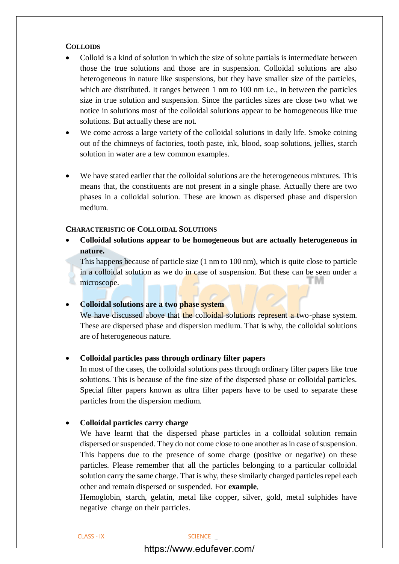#### **COLLOIDS**

- Colloid is a kind of solution in which the size of solute partials is intermediate between those the true solutions and those are in suspension. Colloidal solutions are also heterogeneous in nature like suspensions, but they have smaller size of the particles, which are distributed. It ranges between 1 nm to 100 nm i.e., in between the particles size in true solution and suspension. Since the particles sizes are close two what we notice in solutions most of the colloidal solutions appear to be homogeneous like true solutions. But actually these are not.
- We come across a large variety of the colloidal solutions in daily life. Smoke coining out of the chimneys of factories, tooth paste, ink, blood, soap solutions, jellies, starch solution in water are a few common examples.
- We have stated earlier that the colloidal solutions are the heterogeneous mixtures. This means that, the constituents are not present in a single phase. Actually there are two phases in a colloidal solution. These are known as dispersed phase and dispersion medium.

#### **CHARACTERISTIC OF COLLOIDAL SOLUTIONS**

• **Colloidal solutions appear to be homogeneous but are actually heterogeneous in nature.**

This happens because of particle size (1 nm to 100 nm), which is quite close to particle in a colloidal solution as we do in case of suspension. But these can be seen under a microscope.

#### • **Colloidal solutions are a two phase system**

We have discussed above that the colloidal solutions represent a two-phase system. These are dispersed phase and dispersion medium. That is why, the colloidal solutions are of heterogeneous nature.

#### • **Colloidal particles pass through ordinary filter papers**

In most of the cases, the colloidal solutions pass through ordinary filter papers like true solutions. This is because of the fine size of the dispersed phase or colloidal particles. Special filter papers known as ultra filter papers have to be used to separate these particles from the dispersion medium.

#### • **Colloidal particles carry charge**

We have learnt that the dispersed phase particles in a colloidal solution remain dispersed or suspended. They do not come close to one another as in case of suspension. This happens due to the presence of some charge (positive or negative) on these particles. Please remember that all the particles belonging to a particular colloidal solution carry the same charge. That is why, these similarly charged particles repel each other and remain dispersed or suspended. For **example**,

Hemoglobin, starch, gelatin, metal like copper, silver, gold, metal sulphides have negative charge on their particles.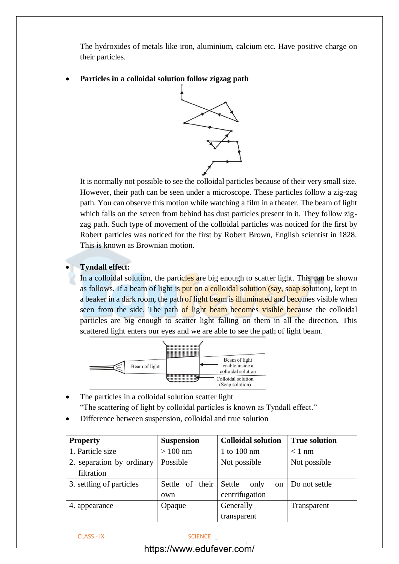The hydroxides of metals like iron, aluminium, calcium etc. Have positive charge on their particles.

• **Particles in a colloidal solution follow zigzag path**



It is normally not possible to see the colloidal particles because of their very small size. However, their path can be seen under a microscope. These particles follow a zig-zag path. You can observe this motion while watching a film in a theater. The beam of light which falls on the screen from behind has dust particles present in it. They follow zigzag path. Such type of movement of the colloidal particles was noticed for the first by Robert particles was noticed for the first by Robert Brown, English scientist in 1828. This is known as Brownian motion.

## • **Tyndall effect:**

In a colloidal solution, the particles are big enough to scatter light. This can be shown as follows. If a beam of light is put on a colloidal solution (say, soap solution), kept in a beaker in a dark room, the path of light beam is illuminated and becomes visible when seen from the side. The path of light beam becomes visible because the colloidal particles are big enough to scatter light falling on them in all the direction. This scattered light enters our eyes and we are able to see the path of light beam.



- The particles in a colloidal solution scatter light "The scattering of light by colloidal particles is known as Tyndall effect."
- Difference between suspension, colloidal and true solution

| <b>Property</b>           | <b>Suspension</b> | <b>Colloidal solution</b> | <b>True solution</b> |
|---------------------------|-------------------|---------------------------|----------------------|
| 1. Particle size          | $>100$ nm         | 1 to 100 nm               | $< 1$ nm             |
| 2. separation by ordinary | Possible          | Not possible              | Not possible         |
| filtration                |                   |                           |                      |
| 3. settling of particles  | Settle of their   | Settle<br>only<br>on      | Do not settle        |
|                           | own               | centrifugation            |                      |
| 4. appearance             | Opaque            | Generally                 | Transparent          |
|                           |                   | transparent               |                      |

CLASS - IX SCIENCE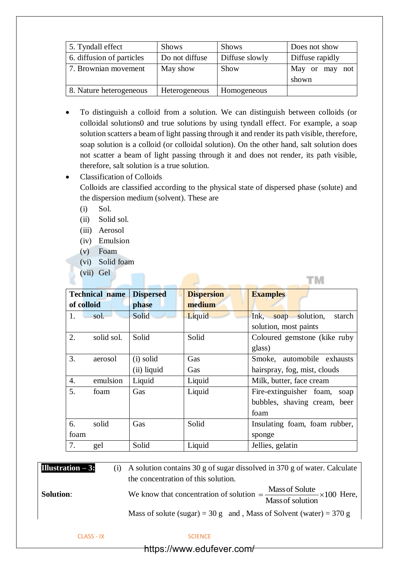| 5. Tyndall effect         | <b>Shows</b>   | <b>Shows</b>   | Does not show           |
|---------------------------|----------------|----------------|-------------------------|
| 6. diffusion of particles | Do not diffuse | Diffuse slowly | Diffuse rapidly         |
| 7. Brownian movement      | May show       | Show           | May or may not<br>shown |
| 8. Nature heterogeneous   | Heterogeneous  | Homogeneous    |                         |

- To distinguish a colloid from a solution. We can distinguish between colloids (or colloidal solutions0 and true solutions by using tyndall effect. For example, a soap solution scatters a beam of light passing through it and render its path visible, therefore, soap solution is a colloid (or colloidal solution). On the other hand, salt solution does not scatter a beam of light passing through it and does not render, its path visible, therefore, salt solution is a true solution.
- Classification of Colloids

Colloids are classified according to the physical state of dispersed phase (solute) and the dispersion medium (solvent). These are

TIM

- (i) Sol.
- (ii) Solid sol.
- (iii) Aerosol
- (iv) Emulsion
- (v) Foam
- (vi) Solid foam
- (vii) Gel

|            | <b>Technical name</b> | <b>Dispersed</b> | <b>Dispersion</b> | <b>Examples</b>                  |
|------------|-----------------------|------------------|-------------------|----------------------------------|
| of colloid |                       | phase            | medium            |                                  |
|            | sol.                  | Solid            | Liquid            | soap solution,<br>Ink,<br>starch |
|            |                       |                  |                   | solution, most paints            |
| 2.         | solid sol.            | Solid            | Solid             | Coloured gemstone (kike ruby     |
|            |                       |                  |                   | glass)                           |
| 3.         | aerosol               | (i) solid        | Gas               | Smoke, automobile exhausts       |
|            |                       | (ii) liquid      | Gas               | hairspray, fog, mist, clouds     |
| 4.         | emulsion              | Liquid           | Liquid            | Milk, butter, face cream         |
| 5.         | foam                  | Gas              | Liquid            | Fire-extinguisher foam,<br>soap  |
|            |                       |                  |                   | bubbles, shaving cream, beer     |
|            |                       |                  |                   | foam                             |
| 6.         | solid                 | Gas              | Solid             | Insulating foam, foam rubber,    |
| foam       |                       |                  |                   | sponge                           |
| 7.         | gel                   | Solid            | Liquid            | Jellies, gelatin                 |

| Illustration $-3$ : | (i) A solution contains 30 g of sugar dissolved in 370 g of water. Calculate<br>the concentration of this solution.                |
|---------------------|------------------------------------------------------------------------------------------------------------------------------------|
| <b>Solution:</b>    | We know that concentration of solution $=\frac{\text{Mass of Solute}}{\text{mass of Solute}} \times 100$ Here,<br>Mass of solution |
|                     | Mass of solute (sugar) = 30 g and, Mass of Solvent (water) = 370 g                                                                 |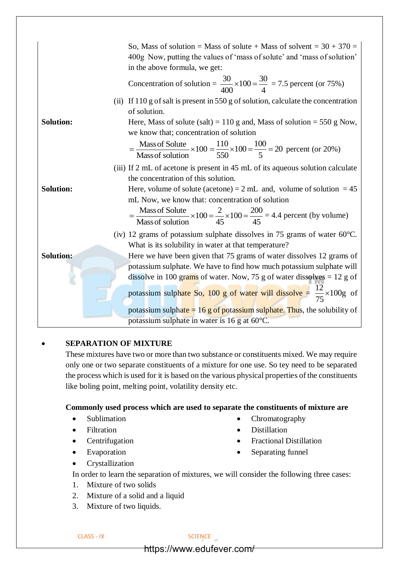|                  | So, Mass of solution = Mass of solute + Mass of solvent = $30 + 370 =$                                                                   |
|------------------|------------------------------------------------------------------------------------------------------------------------------------------|
|                  | 400g Now, putting the values of 'mass of solute' and 'mass of solution'                                                                  |
|                  | in the above formula, we get:                                                                                                            |
|                  | Concentration of solution = $\frac{30}{400} \times 100 = \frac{30}{4} = 7.5$ percent (or 75%)                                            |
|                  | (ii) If $110$ g of salt is present in 550 g of solution, calculate the concentration                                                     |
|                  | of solution.                                                                                                                             |
| <b>Solution:</b> | Here, Mass of solute (salt) = 110 g and, Mass of solution = 550 g Now,                                                                   |
|                  | we know that; concentration of solution                                                                                                  |
|                  | $=\frac{\text{Mass of Solute}}{\text{Mass of solution}} \times 100 = \frac{110}{550} \times 100 = \frac{100}{5} = 20$ percent (or 20%)   |
|                  | (iii) If 2 mL of acetone is present in 45 mL of its aqueous solution calculate                                                           |
|                  | the concentration of this solution.                                                                                                      |
| <b>Solution:</b> | Here, volume of solute (acetone) = $2 \text{ mL}$ and, volume of solution = $45$                                                         |
|                  | mL Now, we know that: concentration of solution                                                                                          |
|                  | $=\frac{\text{Mass of Solute}}{\text{Mass of solution}} \times 100 = \frac{2}{45} \times 100 = \frac{200}{45} = 4.4$ percent (by volume) |
|                  | (iv) 12 grams of potassium sulphate dissolves in 75 grams of water $60^{\circ}$ C.                                                       |
|                  | What is its solubility in water at that temperature?                                                                                     |
| <b>Solution:</b> | Here we have been given that 75 grams of water dissolves 12 grams of                                                                     |
|                  | potassium sulphate. We have to find how much potassium sulphate will                                                                     |
|                  | dissolve in 100 grams of water. Now, 75 g of water dissolves $= 12$ g of                                                                 |
|                  | potassium sulphate So, 100 g of water will dissolve = $\frac{12}{75} \times 100$ g of                                                    |
|                  | potassium sulphate $= 16$ g of potassium sulphate. Thus, the solubility of                                                               |
|                  | potassium sulphate in water is 16 g at 60°C.                                                                                             |

#### • **SEPARATION OF MIXTURE**

These mixtures have two or more than two substance or constituents mixed. We may require only one or two separate constituents of a mixture for one use. So tey need to be separated the process which is used for it is based on the various physical properties of the constituents like boling point, melting point, volatility density etc.

## **Commonly used process which are used to separate the constituents of mixture are**

- Sublimation
- Filtration
- Centrifugation
- Evaporation
- Crystallization
- Chromatography
- Distillation
- Fractional Distillation
- Separating funnel

In order to learn the separation of mixtures, we will consider the following three cases:

- 1. Mixture of two solids
- 2. Mixture of a solid and a liquid
- 3. Mixture of two liquids.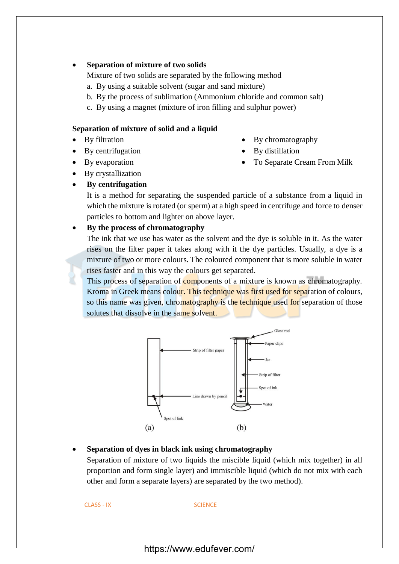## • **Separation of mixture of two solids**

Mixture of two solids are separated by the following method

- a. By using a suitable solvent (sugar and sand mixture)
- b. By the process of sublimation (Ammonium chloride and common salt)
- c. By using a magnet (mixture of iron filling and sulphur power)

### **Separation of mixture of solid and a liquid**

- By filtration
- By centrifugation
- By evaporation
- By crystallization
- **By centrifugation**

It is a method for separating the suspended particle of a substance from a liquid in which the mixture is rotated (or sperm) at a high speed in centrifuge and force to denser particles to bottom and lighter on above layer.

## • **By the process of chromatography**

The ink that we use has water as the solvent and the dye is soluble in it. As the water rises on the filter paper it takes along with it the dye particles. Usually, a dye is a mixture of two or more colours. The coloured component that is more soluble in water rises faster and in this way the colours get separated.

This process of separation of components of a mixture is known as chromatography. Kroma in Greek means colour. This technique was first used for separation of colours, so this name was given, chromatography is the technique used for separation of those solutes that dissolve in the same solvent.



## • **Separation of dyes in black ink using chromatography**

Separation of mixture of two liquids the miscible liquid (which mix together) in all proportion and form single layer) and immiscible liquid (which do not mix with each other and form a separate layers) are separated by the two method).

CLASS - IX SCIENCE

- By chromatography
- By distillation
- To Separate Cream From Milk